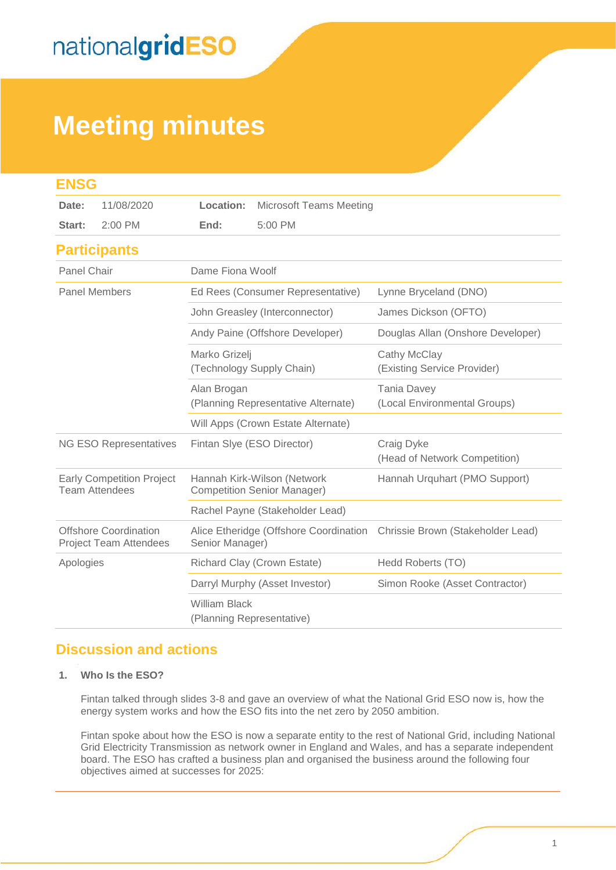# **Meeting minutes**

| <b>ENSG</b>                                               |                                                               |                                                                   |                                |                                                    |  |  |  |  |
|-----------------------------------------------------------|---------------------------------------------------------------|-------------------------------------------------------------------|--------------------------------|----------------------------------------------------|--|--|--|--|
| Date:                                                     | 11/08/2020                                                    | Location:                                                         | <b>Microsoft Teams Meeting</b> |                                                    |  |  |  |  |
| Start:                                                    | $2:00$ PM                                                     | End:                                                              | 5:00 PM                        |                                                    |  |  |  |  |
|                                                           | <b>Participants</b>                                           |                                                                   |                                |                                                    |  |  |  |  |
| Panel Chair                                               |                                                               | Dame Fiona Woolf                                                  |                                |                                                    |  |  |  |  |
| <b>Panel Members</b>                                      |                                                               | Ed Rees (Consumer Representative)                                 |                                | Lynne Bryceland (DNO)                              |  |  |  |  |
|                                                           |                                                               | John Greasley (Interconnector)                                    |                                | James Dickson (OFTO)                               |  |  |  |  |
|                                                           |                                                               | Andy Paine (Offshore Developer)                                   |                                | Douglas Allan (Onshore Developer)                  |  |  |  |  |
|                                                           |                                                               | Marko Grizelj<br>(Technology Supply Chain)                        |                                | Cathy McClay<br>(Existing Service Provider)        |  |  |  |  |
|                                                           |                                                               | Alan Brogan<br>(Planning Representative Alternate)                |                                | <b>Tania Davey</b><br>(Local Environmental Groups) |  |  |  |  |
|                                                           |                                                               | Will Apps (Crown Estate Alternate)                                |                                |                                                    |  |  |  |  |
| NG ESO Representatives                                    |                                                               | Fintan Slye (ESO Director)                                        |                                | Craig Dyke<br>(Head of Network Competition)        |  |  |  |  |
| <b>Early Competition Project</b><br><b>Team Attendees</b> |                                                               | Hannah Kirk-Wilson (Network<br><b>Competition Senior Manager)</b> |                                | Hannah Urquhart (PMO Support)                      |  |  |  |  |
|                                                           |                                                               | Rachel Payne (Stakeholder Lead)                                   |                                |                                                    |  |  |  |  |
|                                                           | <b>Offshore Coordination</b><br><b>Project Team Attendees</b> | Alice Etheridge (Offshore Coordination<br>Senior Manager)         |                                | Chrissie Brown (Stakeholder Lead)                  |  |  |  |  |
| Apologies                                                 |                                                               | Richard Clay (Crown Estate)                                       |                                | Hedd Roberts (TO)                                  |  |  |  |  |
|                                                           |                                                               | Darryl Murphy (Asset Investor)                                    |                                | Simon Rooke (Asset Contractor)                     |  |  |  |  |
|                                                           |                                                               | <b>William Black</b><br>(Planning Representative)                 |                                |                                                    |  |  |  |  |

### **Discussion and actions**

#### **1. Who Is the ESO?**

Fintan talked through slides 3-8 and gave an overview of what the National Grid ESO now is, how the energy system works and how the ESO fits into the net zero by 2050 ambition.

Fintan spoke about how the ESO is now a separate entity to the rest of National Grid, including National Grid Electricity Transmission as network owner in England and Wales, and has a separate independent board. The ESO has crafted a business plan and organised the business around the following four objectives aimed at successes for 2025: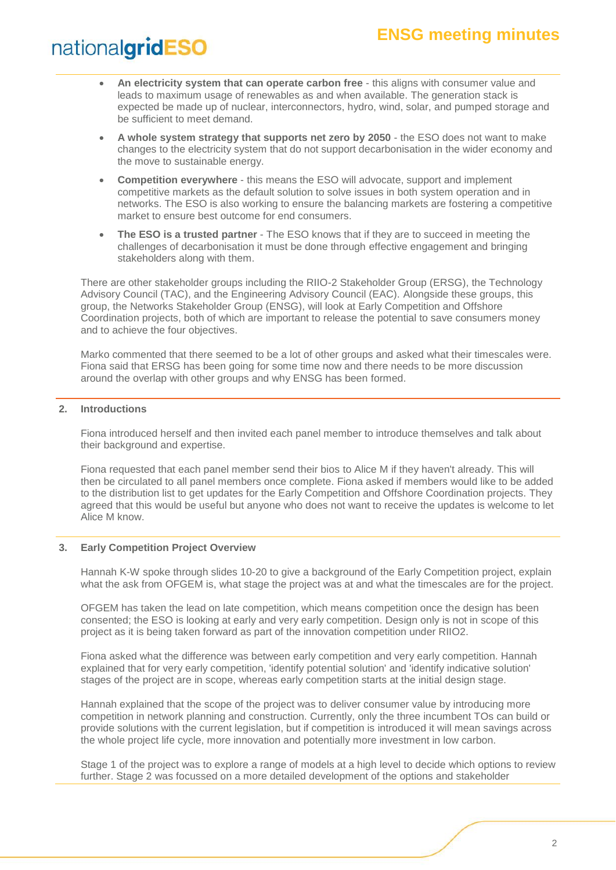### **ENSG meeting minutes**

## nationalgridESO

- **An electricity system that can operate carbon free** this aligns with consumer value and leads to maximum usage of renewables as and when available. The generation stack is expected be made up of nuclear, interconnectors, hydro, wind, solar, and pumped storage and be sufficient to meet demand.
- **A whole system strategy that supports net zero by 2050** the ESO does not want to make changes to the electricity system that do not support decarbonisation in the wider economy and the move to sustainable energy.
- **Competition everywhere** this means the ESO will advocate, support and implement competitive markets as the default solution to solve issues in both system operation and in networks. The ESO is also working to ensure the balancing markets are fostering a competitive market to ensure best outcome for end consumers.
- **The ESO is a trusted partner** The ESO knows that if they are to succeed in meeting the challenges of decarbonisation it must be done through effective engagement and bringing stakeholders along with them.

There are other stakeholder groups including the RIIO-2 Stakeholder Group (ERSG), the Technology Advisory Council (TAC), and the Engineering Advisory Council (EAC). Alongside these groups, this group, the Networks Stakeholder Group (ENSG), will look at Early Competition and Offshore Coordination projects, both of which are important to release the potential to save consumers money and to achieve the four objectives.

Marko commented that there seemed to be a lot of other groups and asked what their timescales were. Fiona said that ERSG has been going for some time now and there needs to be more discussion around the overlap with other groups and why ENSG has been formed.

#### **2. Introductions**

Fiona introduced herself and then invited each panel member to introduce themselves and talk about their background and expertise.

Fiona requested that each panel member send their bios to Alice M if they haven't already. This will then be circulated to all panel members once complete. Fiona asked if members would like to be added to the distribution list to get updates for the Early Competition and Offshore Coordination projects. They agreed that this would be useful but anyone who does not want to receive the updates is welcome to let Alice M know.

#### **3. Early Competition Project Overview**

Hannah K-W spoke through slides 10-20 to give a background of the Early Competition project, explain what the ask from OFGEM is, what stage the project was at and what the timescales are for the project.

OFGEM has taken the lead on late competition, which means competition once the design has been consented; the ESO is looking at early and very early competition. Design only is not in scope of this project as it is being taken forward as part of the innovation competition under RIIO2.

Fiona asked what the difference was between early competition and very early competition. Hannah explained that for very early competition, 'identify potential solution' and 'identify indicative solution' stages of the project are in scope, whereas early competition starts at the initial design stage.

Hannah explained that the scope of the project was to deliver consumer value by introducing more competition in network planning and construction. Currently, only the three incumbent TOs can build or provide solutions with the current legislation, but if competition is introduced it will mean savings across the whole project life cycle, more innovation and potentially more investment in low carbon.

Stage 1 of the project was to explore a range of models at a high level to decide which options to review further. Stage 2 was focussed on a more detailed development of the options and stakeholder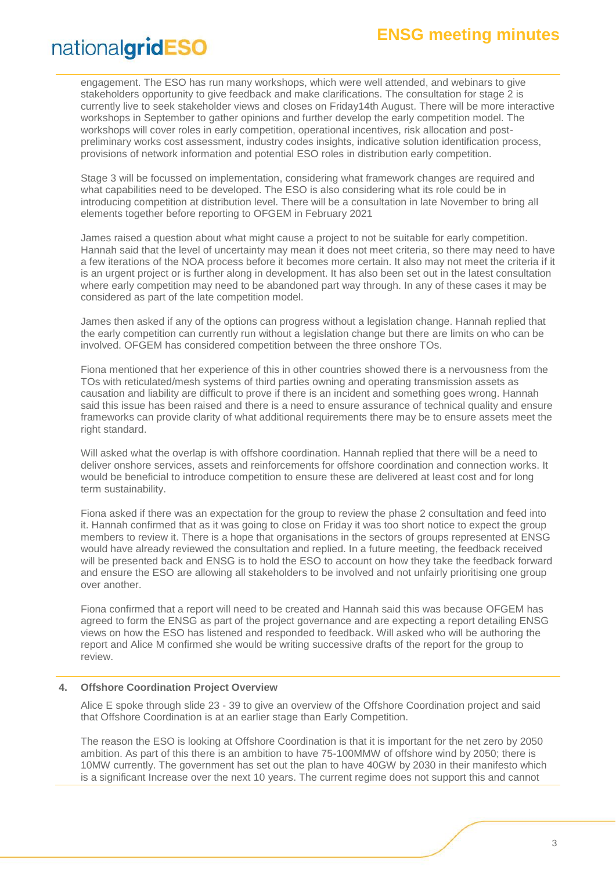engagement. The ESO has run many workshops, which were well attended, and webinars to give stakeholders opportunity to give feedback and make clarifications. The consultation for stage 2 is currently live to seek stakeholder views and closes on Friday14th August. There will be more interactive workshops in September to gather opinions and further develop the early competition model. The workshops will cover roles in early competition, operational incentives, risk allocation and postpreliminary works cost assessment, industry codes insights, indicative solution identification process, provisions of network information and potential ESO roles in distribution early competition.

Stage 3 will be focussed on implementation, considering what framework changes are required and what capabilities need to be developed. The ESO is also considering what its role could be in introducing competition at distribution level. There will be a consultation in late November to bring all elements together before reporting to OFGEM in February 2021

James raised a question about what might cause a project to not be suitable for early competition. Hannah said that the level of uncertainty may mean it does not meet criteria, so there may need to have a few iterations of the NOA process before it becomes more certain. It also may not meet the criteria if it is an urgent project or is further along in development. It has also been set out in the latest consultation where early competition may need to be abandoned part way through. In any of these cases it may be considered as part of the late competition model.

James then asked if any of the options can progress without a legislation change. Hannah replied that the early competition can currently run without a legislation change but there are limits on who can be involved. OFGEM has considered competition between the three onshore TOs.

Fiona mentioned that her experience of this in other countries showed there is a nervousness from the TOs with reticulated/mesh systems of third parties owning and operating transmission assets as causation and liability are difficult to prove if there is an incident and something goes wrong. Hannah said this issue has been raised and there is a need to ensure assurance of technical quality and ensure frameworks can provide clarity of what additional requirements there may be to ensure assets meet the right standard.

Will asked what the overlap is with offshore coordination. Hannah replied that there will be a need to deliver onshore services, assets and reinforcements for offshore coordination and connection works. It would be beneficial to introduce competition to ensure these are delivered at least cost and for long term sustainability.

Fiona asked if there was an expectation for the group to review the phase 2 consultation and feed into it. Hannah confirmed that as it was going to close on Friday it was too short notice to expect the group members to review it. There is a hope that organisations in the sectors of groups represented at ENSG would have already reviewed the consultation and replied. In a future meeting, the feedback received will be presented back and ENSG is to hold the ESO to account on how they take the feedback forward and ensure the ESO are allowing all stakeholders to be involved and not unfairly prioritising one group over another.

Fiona confirmed that a report will need to be created and Hannah said this was because OFGEM has agreed to form the ENSG as part of the project governance and are expecting a report detailing ENSG views on how the ESO has listened and responded to feedback. Will asked who will be authoring the report and Alice M confirmed she would be writing successive drafts of the report for the group to review.

#### **4. Offshore Coordination Project Overview**

Alice E spoke through slide 23 - 39 to give an overview of the Offshore Coordination project and said that Offshore Coordination is at an earlier stage than Early Competition.

The reason the ESO is looking at Offshore Coordination is that it is important for the net zero by 2050 ambition. As part of this there is an ambition to have 75-100MMW of offshore wind by 2050; there is 10MW currently. The government has set out the plan to have 40GW by 2030 in their manifesto which is a significant Increase over the next 10 years. The current regime does not support this and cannot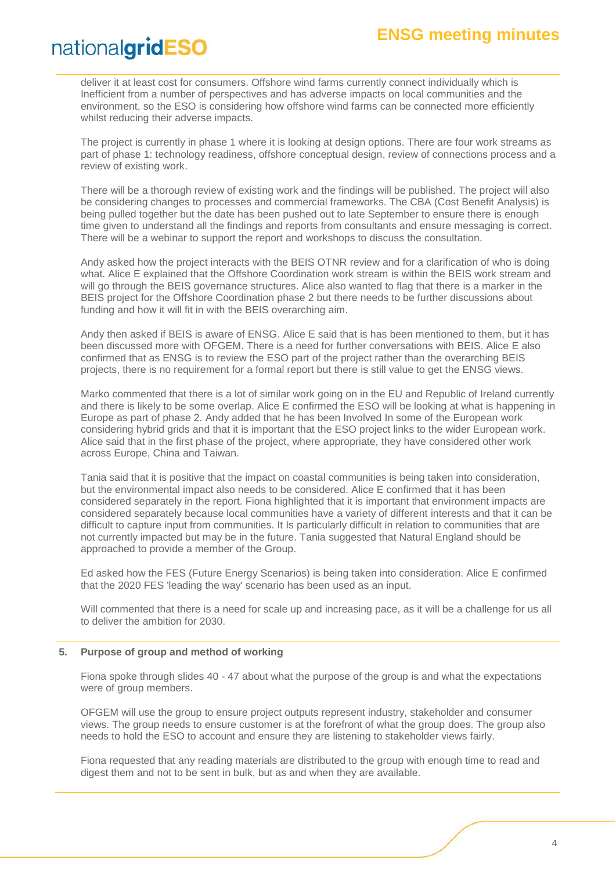deliver it at least cost for consumers. Offshore wind farms currently connect individually which is Inefficient from a number of perspectives and has adverse impacts on local communities and the environment, so the ESO is considering how offshore wind farms can be connected more efficiently whilst reducing their adverse impacts.

The project is currently in phase 1 where it is looking at design options. There are four work streams as part of phase 1: technology readiness, offshore conceptual design, review of connections process and a review of existing work.

There will be a thorough review of existing work and the findings will be published. The project will also be considering changes to processes and commercial frameworks. The CBA (Cost Benefit Analysis) is being pulled together but the date has been pushed out to late September to ensure there is enough time given to understand all the findings and reports from consultants and ensure messaging is correct. There will be a webinar to support the report and workshops to discuss the consultation.

Andy asked how the project interacts with the BEIS OTNR review and for a clarification of who is doing what. Alice E explained that the Offshore Coordination work stream is within the BEIS work stream and will go through the BEIS governance structures. Alice also wanted to flag that there is a marker in the BEIS project for the Offshore Coordination phase 2 but there needs to be further discussions about funding and how it will fit in with the BEIS overarching aim.

Andy then asked if BEIS is aware of ENSG. Alice E said that is has been mentioned to them, but it has been discussed more with OFGEM. There is a need for further conversations with BEIS. Alice E also confirmed that as ENSG is to review the ESO part of the project rather than the overarching BEIS projects, there is no requirement for a formal report but there is still value to get the ENSG views.

Marko commented that there is a lot of similar work going on in the EU and Republic of Ireland currently and there is likely to be some overlap. Alice E confirmed the ESO will be looking at what is happening in Europe as part of phase 2. Andy added that he has been Involved In some of the European work considering hybrid grids and that it is important that the ESO project links to the wider European work. Alice said that in the first phase of the project, where appropriate, they have considered other work across Europe, China and Taiwan.

Tania said that it is positive that the impact on coastal communities is being taken into consideration, but the environmental impact also needs to be considered. Alice E confirmed that it has been considered separately in the report. Fiona highlighted that it is important that environment impacts are considered separately because local communities have a variety of different interests and that it can be difficult to capture input from communities. It Is particularly difficult in relation to communities that are not currently impacted but may be in the future. Tania suggested that Natural England should be approached to provide a member of the Group.

Ed asked how the FES (Future Energy Scenarios) is being taken into consideration. Alice E confirmed that the 2020 FES 'leading the way' scenario has been used as an input.

Will commented that there is a need for scale up and increasing pace, as it will be a challenge for us all to deliver the ambition for 2030.

#### **5. Purpose of group and method of working**

Fiona spoke through slides 40 - 47 about what the purpose of the group is and what the expectations were of group members.

OFGEM will use the group to ensure project outputs represent industry, stakeholder and consumer views. The group needs to ensure customer is at the forefront of what the group does. The group also needs to hold the ESO to account and ensure they are listening to stakeholder views fairly.

Fiona requested that any reading materials are distributed to the group with enough time to read and digest them and not to be sent in bulk, but as and when they are available.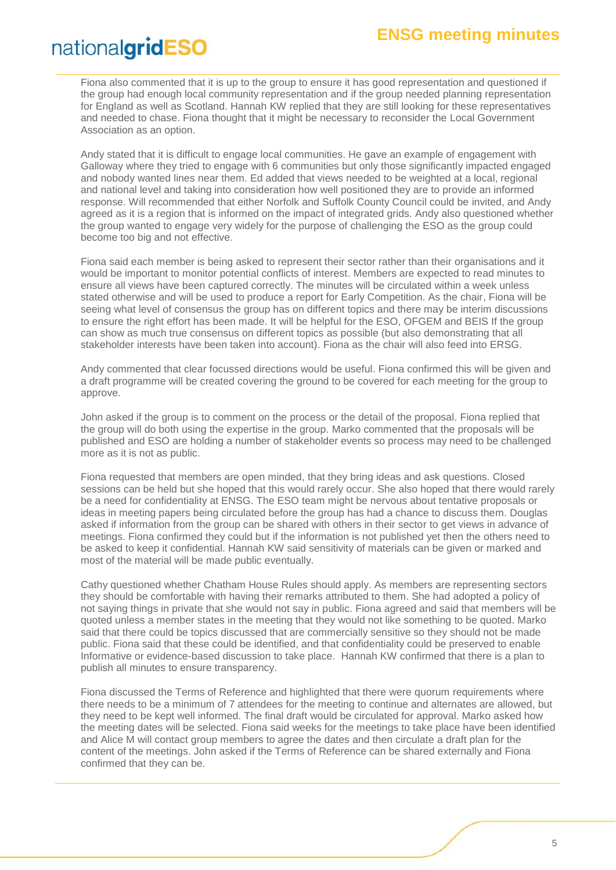Fiona also commented that it is up to the group to ensure it has good representation and questioned if the group had enough local community representation and if the group needed planning representation for England as well as Scotland. Hannah KW replied that they are still looking for these representatives and needed to chase. Fiona thought that it might be necessary to reconsider the Local Government Association as an option.

Andy stated that it is difficult to engage local communities. He gave an example of engagement with Galloway where they tried to engage with 6 communities but only those significantly impacted engaged and nobody wanted lines near them. Ed added that views needed to be weighted at a local, regional and national level and taking into consideration how well positioned they are to provide an informed response. Will recommended that either Norfolk and Suffolk County Council could be invited, and Andy agreed as it is a region that is informed on the impact of integrated grids. Andy also questioned whether the group wanted to engage very widely for the purpose of challenging the ESO as the group could become too big and not effective.

Fiona said each member is being asked to represent their sector rather than their organisations and it would be important to monitor potential conflicts of interest. Members are expected to read minutes to ensure all views have been captured correctly. The minutes will be circulated within a week unless stated otherwise and will be used to produce a report for Early Competition. As the chair, Fiona will be seeing what level of consensus the group has on different topics and there may be interim discussions to ensure the right effort has been made. It will be helpful for the ESO, OFGEM and BEIS If the group can show as much true consensus on different topics as possible (but also demonstrating that all stakeholder interests have been taken into account). Fiona as the chair will also feed into ERSG.

Andy commented that clear focussed directions would be useful. Fiona confirmed this will be given and a draft programme will be created covering the ground to be covered for each meeting for the group to approve.

John asked if the group is to comment on the process or the detail of the proposal. Fiona replied that the group will do both using the expertise in the group. Marko commented that the proposals will be published and ESO are holding a number of stakeholder events so process may need to be challenged more as it is not as public.

Fiona requested that members are open minded, that they bring ideas and ask questions. Closed sessions can be held but she hoped that this would rarely occur. She also hoped that there would rarely be a need for confidentiality at ENSG. The ESO team might be nervous about tentative proposals or ideas in meeting papers being circulated before the group has had a chance to discuss them. Douglas asked if information from the group can be shared with others in their sector to get views in advance of meetings. Fiona confirmed they could but if the information is not published yet then the others need to be asked to keep it confidential. Hannah KW said sensitivity of materials can be given or marked and most of the material will be made public eventually.

Cathy questioned whether Chatham House Rules should apply. As members are representing sectors they should be comfortable with having their remarks attributed to them. She had adopted a policy of not saying things in private that she would not say in public. Fiona agreed and said that members will be quoted unless a member states in the meeting that they would not like something to be quoted. Marko said that there could be topics discussed that are commercially sensitive so they should not be made public. Fiona said that these could be identified, and that confidentiality could be preserved to enable Informative or evidence-based discussion to take place. Hannah KW confirmed that there is a plan to publish all minutes to ensure transparency.

Fiona discussed the Terms of Reference and highlighted that there were quorum requirements where there needs to be a minimum of 7 attendees for the meeting to continue and alternates are allowed, but they need to be kept well informed. The final draft would be circulated for approval. Marko asked how the meeting dates will be selected. Fiona said weeks for the meetings to take place have been identified and Alice M will contact group members to agree the dates and then circulate a draft plan for the content of the meetings. John asked if the Terms of Reference can be shared externally and Fiona confirmed that they can be.